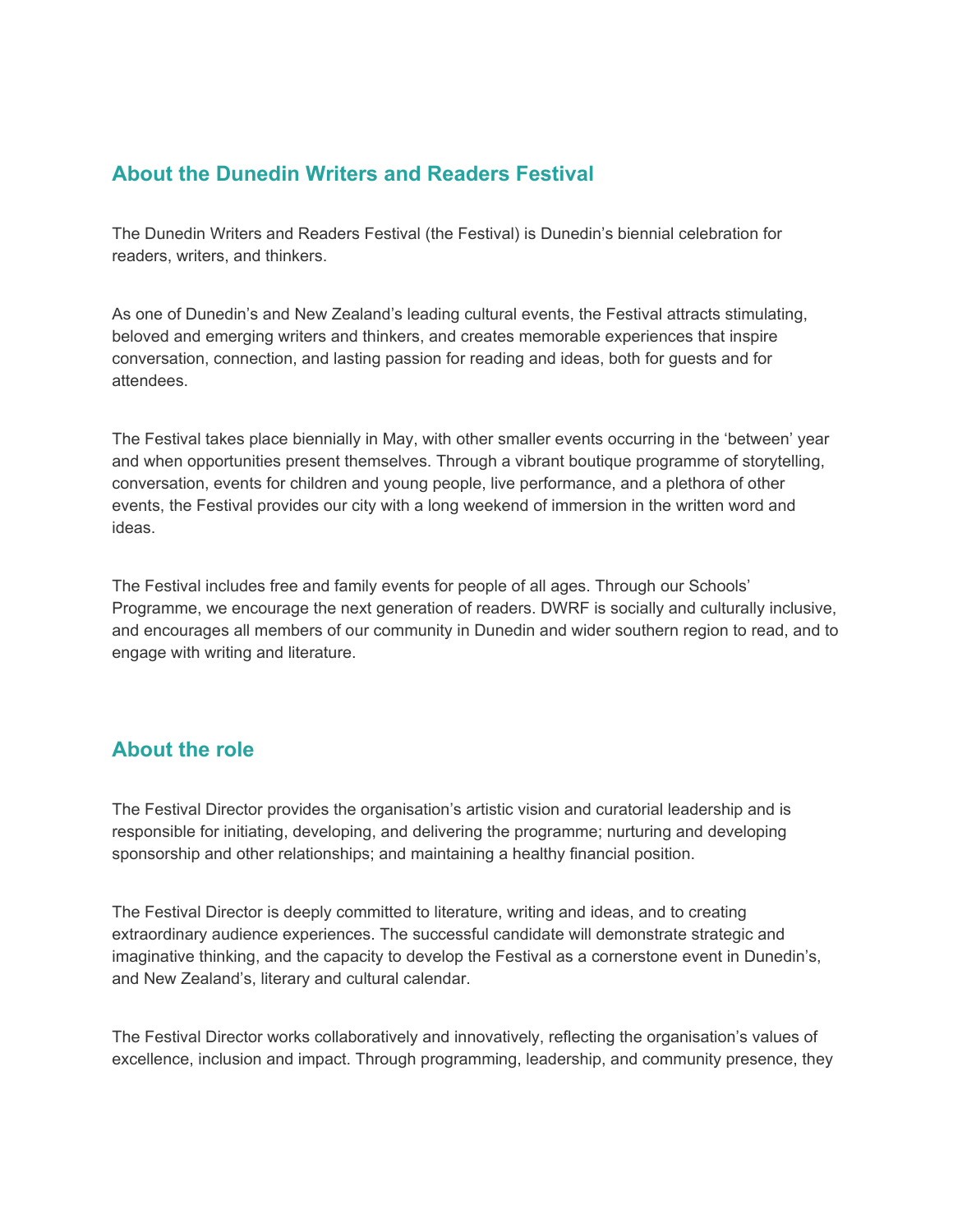## **About the Dunedin Writers and Readers Festival**

The Dunedin Writers and Readers Festival (the Festival) is Dunedin's biennial celebration for readers, writers, and thinkers.

As one of Dunedin's and New Zealand's leading cultural events, the Festival attracts stimulating, beloved and emerging writers and thinkers, and creates memorable experiences that inspire conversation, connection, and lasting passion for reading and ideas, both for guests and for attendees.

The Festival takes place biennially in May, with other smaller events occurring in the 'between' year and when opportunities present themselves. Through a vibrant boutique programme of storytelling, conversation, events for children and young people, live performance, and a plethora of other events, the Festival provides our city with a long weekend of immersion in the written word and ideas.

The Festival includes free and family events for people of all ages. Through our Schools' Programme, we encourage the next generation of readers. DWRF is socially and culturally inclusive, and encourages all members of our community in Dunedin and wider southern region to read, and to engage with writing and literature.

## **About the role**

The Festival Director provides the organisation's artistic vision and curatorial leadership and is responsible for initiating, developing, and delivering the programme; nurturing and developing sponsorship and other relationships; and maintaining a healthy financial position.

The Festival Director is deeply committed to literature, writing and ideas, and to creating extraordinary audience experiences. The successful candidate will demonstrate strategic and imaginative thinking, and the capacity to develop the Festival as a cornerstone event in Dunedin's, and New Zealand's, literary and cultural calendar.

The Festival Director works collaboratively and innovatively, reflecting the organisation's values of excellence, inclusion and impact. Through programming, leadership, and community presence, they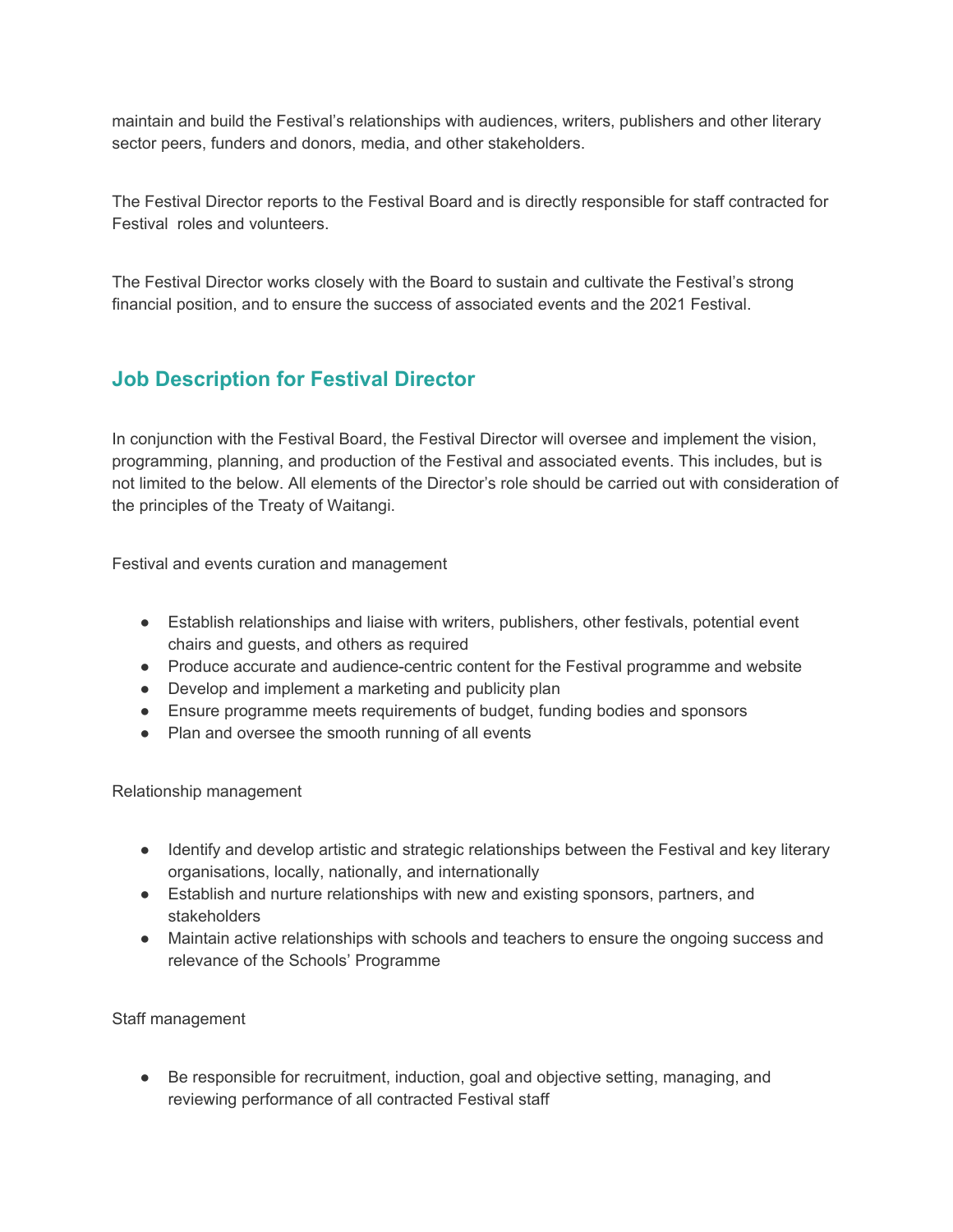maintain and build the Festival's relationships with audiences, writers, publishers and other literary sector peers, funders and donors, media, and other stakeholders.

The Festival Director reports to the Festival Board and is directly responsible for staff contracted for Festival roles and volunteers.

The Festival Director works closely with the Board to sustain and cultivate the Festival's strong financial position, and to ensure the success of associated events and the 2021 Festival.

## **Job Description for Festival Director**

In conjunction with the Festival Board, the Festival Director will oversee and implement the vision, programming, planning, and production of the Festival and associated events. This includes, but is not limited to the below. All elements of the Director's role should be carried out with consideration of the principles of the Treaty of Waitangi.

Festival and events curation and management

- Establish relationships and liaise with writers, publishers, other festivals, potential event chairs and guests, and others as required
- Produce accurate and audience-centric content for the Festival programme and website
- Develop and implement a marketing and publicity plan
- Ensure programme meets requirements of budget, funding bodies and sponsors
- Plan and oversee the smooth running of all events

Relationship management

- Identify and develop artistic and strategic relationships between the Festival and key literary organisations, locally, nationally, and internationally
- Establish and nurture relationships with new and existing sponsors, partners, and stakeholders
- Maintain active relationships with schools and teachers to ensure the ongoing success and relevance of the Schools' Programme

Staff management

● Be responsible for recruitment, induction, goal and objective setting, managing, and reviewing performance of all contracted Festival staff